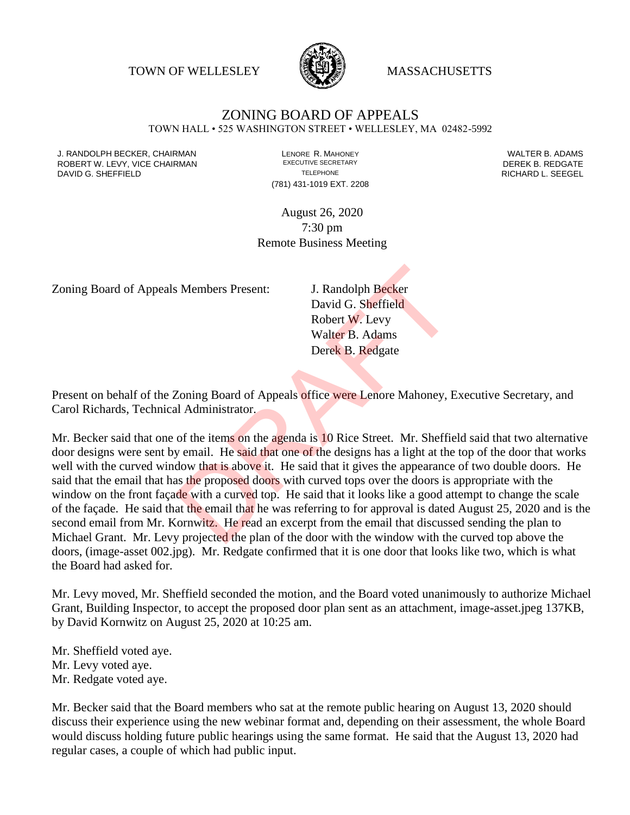TOWN OF WELLESLEY **WELLESLEY** MASSACHUSETTS



## ZONING BOARD OF APPEALS

TOWN HALL • 525 WASHINGTON STREET • WELLESLEY, MA 02482-5992

J. RANDOLPH BECKER, CHAIRMAN LENORE R. MAHONEY LENORE R. MAHONEY LENORE R. ADAMS<br>IN THE ROBERT WALTER HOT CHAIRMAN LESSENTIVE SECRETARY LETTER WALTER B. REDGATE ROBERT W. LEVY, VICE CHAIRMAN EXECUTIVE SECRETARY THE STATE OF THE REDGATE DAVID G. SHEFFIELD **TELEPHONE** TELEPHONE TELEPHONE **TELEPHONE RICHARD L. SEEGEL** 

(781) 431-1019 EXT. 2208

August 26, 2020 7:30 pm Remote Business Meeting

Zoning Board of Appeals Members Present: J. Randolph Becker

David G. Sheffield Robert W. Levy Walter B. Adams Derek B. Redgate

Present on behalf of the Zoning Board of Appeals office were Lenore Mahoney, Executive Secretary, and Carol Richards, Technical Administrator.

Mr. Becker said that one of the items on the agenda is 10 Rice Street. Mr. Sheffield said that two alternative door designs were sent by email. He said that one of the designs has a light at the top of the door that works well with the curved window that is above it. He said that it gives the appearance of two double doors. He said that the email that has the proposed doors with curved tops over the doors is appropriate with the window on the front facade with a curved top. He said that it looks like a good attempt to change the scale of the façade. He said that the email that he was referring to for approval is dated August 25, 2020 and is the second email from Mr. Kornwitz. He read an excerpt from the email that discussed sending the plan to Michael Grant. Mr. Levy projected the plan of the door with the window with the curved top above the doors, (image-asset 002.jpg). Mr. Redgate confirmed that it is one door that looks like two, which is what the Board had asked for. S. Members Present:<br>
J. Randolph Becker<br>
David G. Sheffield<br>
Robert W. Levy<br>
Walter B. Adams<br>
Derek B. Redgate<br>
Zoning Board of Appeals office were Lenore Mahoney, E<br>
Loning Board of Appeals office were Lenore Mahoney, E<br>

Mr. Levy moved, Mr. Sheffield seconded the motion, and the Board voted unanimously to authorize Michael Grant, Building Inspector, to accept the proposed door plan sent as an attachment, image-asset.jpeg 137KB, by David Kornwitz on August 25, 2020 at 10:25 am.

Mr. Sheffield voted aye.

- Mr. Levy voted aye.
- Mr. Redgate voted aye.

Mr. Becker said that the Board members who sat at the remote public hearing on August 13, 2020 should discuss their experience using the new webinar format and, depending on their assessment, the whole Board would discuss holding future public hearings using the same format. He said that the August 13, 2020 had regular cases, a couple of which had public input.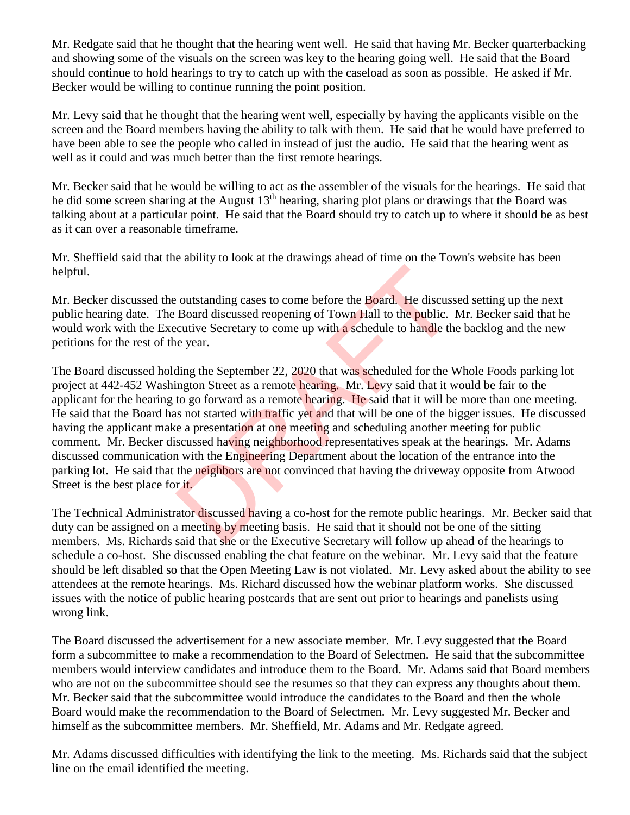Mr. Redgate said that he thought that the hearing went well. He said that having Mr. Becker quarterbacking and showing some of the visuals on the screen was key to the hearing going well. He said that the Board should continue to hold hearings to try to catch up with the caseload as soon as possible. He asked if Mr. Becker would be willing to continue running the point position.

Mr. Levy said that he thought that the hearing went well, especially by having the applicants visible on the screen and the Board members having the ability to talk with them. He said that he would have preferred to have been able to see the people who called in instead of just the audio. He said that the hearing went as well as it could and was much better than the first remote hearings.

Mr. Becker said that he would be willing to act as the assembler of the visuals for the hearings. He said that he did some screen sharing at the August  $13<sup>th</sup>$  hearing, sharing plot plans or drawings that the Board was talking about at a particular point. He said that the Board should try to catch up to where it should be as best as it can over a reasonable timeframe.

Mr. Sheffield said that the ability to look at the drawings ahead of time on the Town's website has been helpful.

Mr. Becker discussed the outstanding cases to come before the Board. He discussed setting up the next public hearing date. The Board discussed reopening of Town Hall to the public. Mr. Becker said that he would work with the Executive Secretary to come up with a schedule to handle the backlog and the new petitions for the rest of the year.

The Board discussed holding the September 22, 2020 that was scheduled for the Whole Foods parking lot project at 442-452 Washington Street as a remote hearing. Mr. Levy said that it would be fair to the applicant for the hearing to go forward as a remote hearing. He said that it will be more than one meeting. He said that the Board has not started with traffic yet and that will be one of the bigger issues. He discussed having the applicant make a presentation at one meeting and scheduling another meeting for public comment. Mr. Becker discussed having neighborhood representatives speak at the hearings. Mr. Adams discussed communication with the Engineering Department about the location of the entrance into the parking lot. He said that the neighbors are not convinced that having the driveway opposite from Atwood Street is the best place for it. outstanding cases to come before the Board. He discuss<br>Board discussed reopening of Town Hall to the public.<br>cutive Secretary to come up with a schedule to handle the<br>year.<br>ding the September 22, 2020 that was scheduled fo

The Technical Administrator discussed having a co-host for the remote public hearings. Mr. Becker said that duty can be assigned on a meeting by meeting basis. He said that it should not be one of the sitting members. Ms. Richards said that she or the Executive Secretary will follow up ahead of the hearings to schedule a co-host. She discussed enabling the chat feature on the webinar. Mr. Levy said that the feature should be left disabled so that the Open Meeting Law is not violated. Mr. Levy asked about the ability to see attendees at the remote hearings. Ms. Richard discussed how the webinar platform works. She discussed issues with the notice of public hearing postcards that are sent out prior to hearings and panelists using wrong link.

The Board discussed the advertisement for a new associate member. Mr. Levy suggested that the Board form a subcommittee to make a recommendation to the Board of Selectmen. He said that the subcommittee members would interview candidates and introduce them to the Board. Mr. Adams said that Board members who are not on the subcommittee should see the resumes so that they can express any thoughts about them. Mr. Becker said that the subcommittee would introduce the candidates to the Board and then the whole Board would make the recommendation to the Board of Selectmen. Mr. Levy suggested Mr. Becker and himself as the subcommittee members. Mr. Sheffield, Mr. Adams and Mr. Redgate agreed.

Mr. Adams discussed difficulties with identifying the link to the meeting. Ms. Richards said that the subject line on the email identified the meeting.